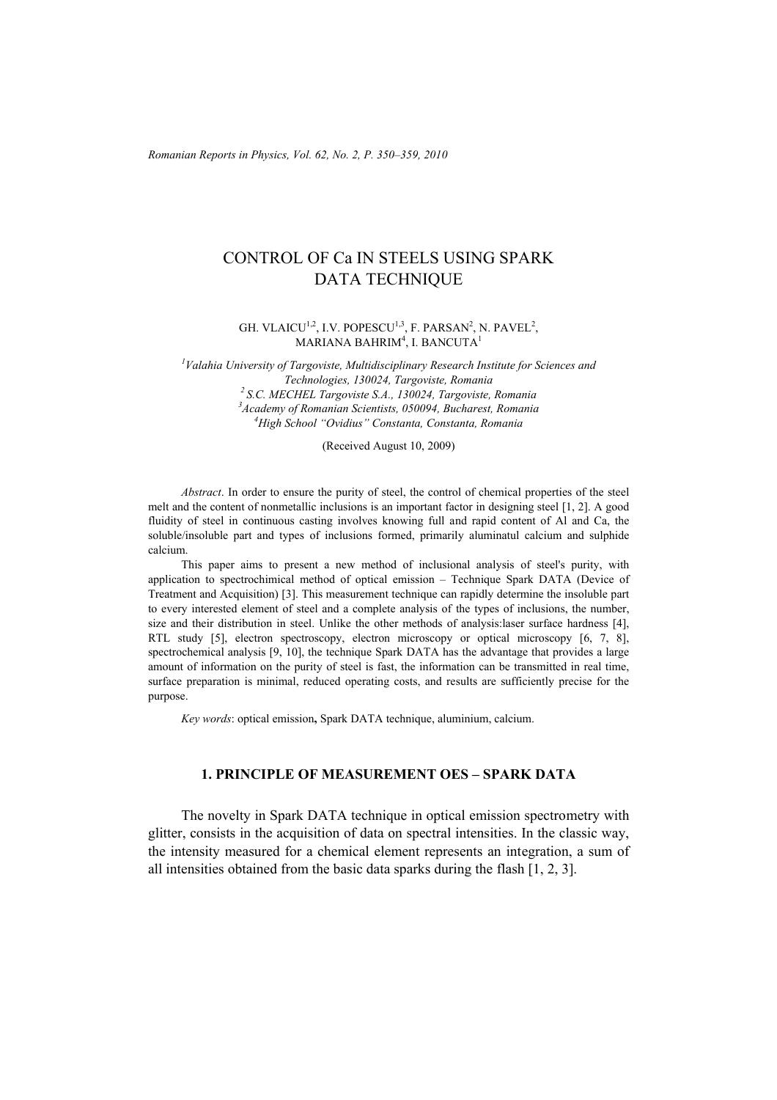*Romanian Reports in Physics, Vol. 62, No. 2, P. 350–359, 2010*

# CONTROL OF Ca IN STEELS USING SPARK DATA TECHNIQUE

#### GH. VLAICU<sup>1,2</sup>, I.V. POPESCU<sup>1,3</sup>, F. PARSAN<sup>2</sup>, N. PAVEL<sup>2</sup>, MARIANA BAHRIM $^4$ , I. BANCUTA $^1$

*1 Valahia University of Targoviste, Multidisciplinary Research Institute for Sciences and Technologies, 130024, Targoviste, Romania 2 S.C. MECHEL Targoviste S.A., 130024, Targoviste, Romania 3* <sup>3</sup> Academy of Romanian Scientists, 050094, Bucharest, Romania *High School "Ovidius" Constanta, Constanta, Romania* 

(Received August 10, 2009)

*Abstract*. In order to ensure the purity of steel, the control of chemical properties of the steel melt and the content of nonmetallic inclusions is an important factor in designing steel [1, 2]. A good fluidity of steel in continuous casting involves knowing full and rapid content of Al and Ca, the soluble/insoluble part and types of inclusions formed, primarily aluminatul calcium and sulphide calcium.

This paper aims to present a new method of inclusional analysis of steel's purity, with application to spectrochimical method of optical emission – Technique Spark DATA (Device of Treatment and Acquisition) [3]. This measurement technique can rapidly determine the insoluble part to every interested element of steel and a complete analysis of the types of inclusions, the number, size and their distribution in steel. Unlike the other methods of analysis:laser surface hardness [4], RTL study [5], electron spectroscopy, electron microscopy or optical microscopy [6, 7, 8], spectrochemical analysis [9, 10], the technique Spark DATA has the advantage that provides a large amount of information on the purity of steel is fast, the information can be transmitted in real time, surface preparation is minimal, reduced operating costs, and results are sufficiently precise for the purpose.

*Key words*: optical emission**,** Spark DATA technique, aluminium, calcium.

### **1. PRINCIPLE OF MEASUREMENT OES – SPARK DATA**

The novelty in Spark DATA technique in optical emission spectrometry with glitter, consists in the acquisition of data on spectral intensities. In the classic way, the intensity measured for a chemical element represents an integration, a sum of all intensities obtained from the basic data sparks during the flash [1, 2, 3].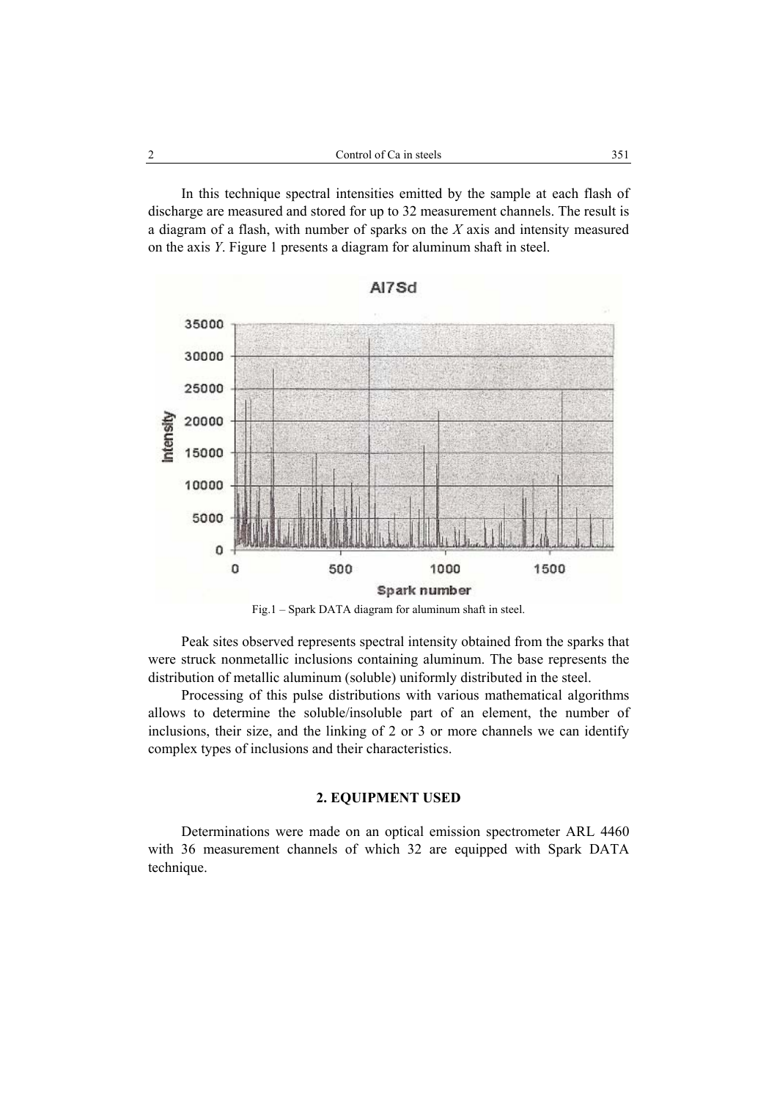In this technique spectral intensities emitted by the sample at each flash of discharge are measured and stored for up to 32 measurement channels. The result is a diagram of a flash, with number of sparks on the *X* axis and intensity measured on the axis *Y*. Figure 1 presents a diagram for aluminum shaft in steel.





Peak sites observed represents spectral intensity obtained from the sparks that were struck nonmetallic inclusions containing aluminum. The base represents the distribution of metallic aluminum (soluble) uniformly distributed in the steel.

Processing of this pulse distributions with various mathematical algorithms allows to determine the soluble/insoluble part of an element, the number of inclusions, their size, and the linking of 2 or 3 or more channels we can identify complex types of inclusions and their characteristics.

### **2. EQUIPMENT USED**

Determinations were made on an optical emission spectrometer ARL 4460 with 36 measurement channels of which 32 are equipped with Spark DATA technique.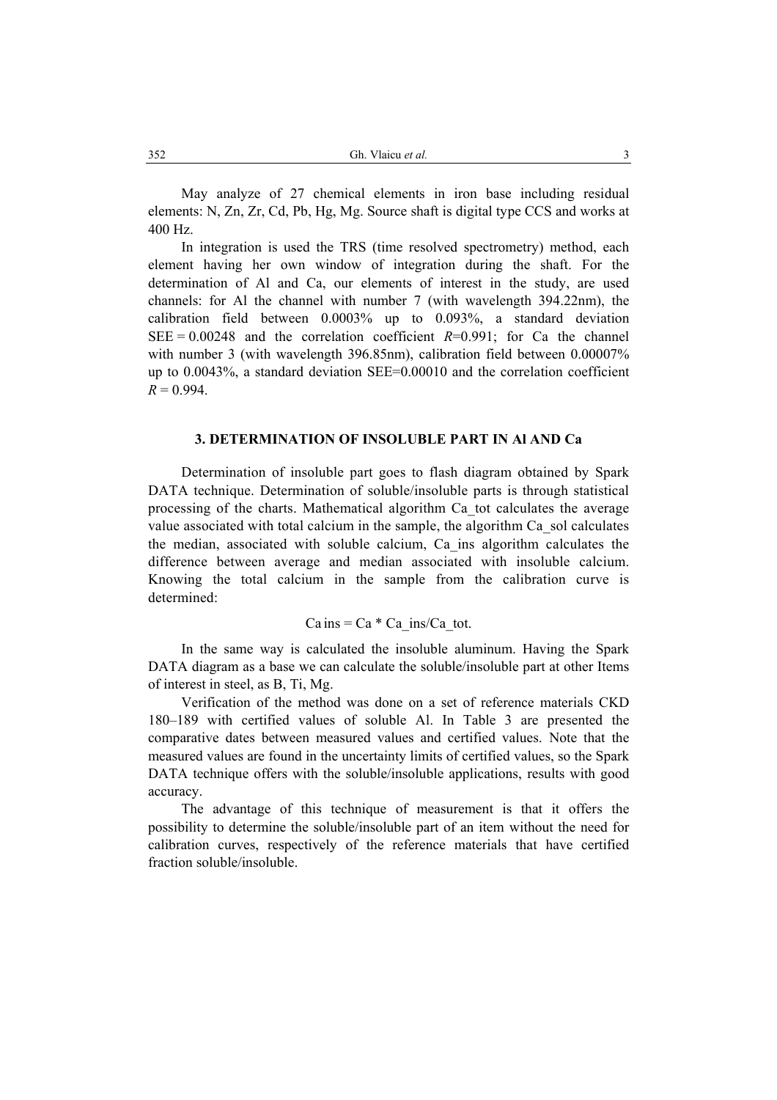May analyze of 27 chemical elements in iron base including residual elements: N, Zn, Zr, Cd, Pb, Hg, Mg. Source shaft is digital type CCS and works at 400 Hz.

In integration is used the TRS (time resolved spectrometry) method, each element having her own window of integration during the shaft. For the determination of Al and Ca, our elements of interest in the study, are used channels: for Al the channel with number 7 (with wavelength 394.22nm), the calibration field between 0.0003% up to 0.093%, a standard deviation SEE =  $0.00248$  and the correlation coefficient *R*=0.991; for Ca the channel with number 3 (with wavelength 396.85nm), calibration field between 0.00007% up to 0.0043%, a standard deviation SEE=0.00010 and the correlation coefficient  $R = 0.994$ .

### **3. DETERMINATION OF INSOLUBLE PART IN Al AND Ca**

Determination of insoluble part goes to flash diagram obtained by Spark DATA technique. Determination of soluble/insoluble parts is through statistical processing of the charts. Mathematical algorithm Ca\_tot calculates the average value associated with total calcium in the sample, the algorithm Ca\_sol calculates the median, associated with soluble calcium, Ca\_ins algorithm calculates the difference between average and median associated with insoluble calcium. Knowing the total calcium in the sample from the calibration curve is determined:

# $Ca$  ins =  $Ca * Ca$  ins/Ca tot.

In the same way is calculated the insoluble aluminum. Having the Spark DATA diagram as a base we can calculate the soluble/insoluble part at other Items of interest in steel, as B, Ti, Mg.

Verification of the method was done on a set of reference materials CKD 180–189 with certified values of soluble Al. In Table 3 are presented the comparative dates between measured values and certified values. Note that the measured values are found in the uncertainty limits of certified values, so the Spark DATA technique offers with the soluble/insoluble applications, results with good accuracy.

The advantage of this technique of measurement is that it offers the possibility to determine the soluble/insoluble part of an item without the need for calibration curves, respectively of the reference materials that have certified fraction soluble/insoluble.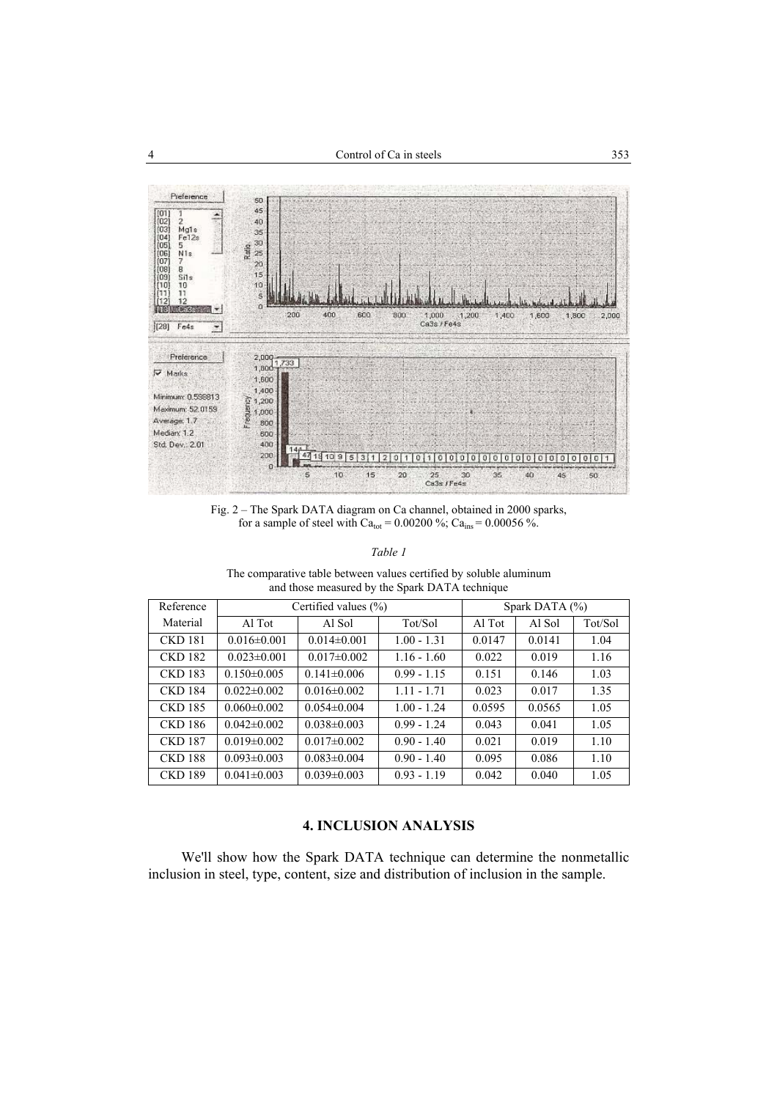

Fig. 2 – The Spark DATA diagram on Ca channel, obtained in 2000 sparks, for a sample of steel with Ca<sub>tot</sub> =  $0.00200$  %; Ca<sub>ins</sub> =  $0.00056$  %.

*Table 1* 

The comparative table between values certified by soluble aluminum and those measured by the Spark DATA technique

| Reference      |                   | Certified values $(\% )$ |               | Spark DATA $(\% )$ |        |         |  |
|----------------|-------------------|--------------------------|---------------|--------------------|--------|---------|--|
| Material       | Al Tot            | Al Sol                   | Tot/Sol       | Al Tot             | Al Sol | Tot/Sol |  |
| <b>CKD 181</b> | $0.016 \pm 0.001$ | $0.014\pm0.001$          | $1.00 - 1.31$ | 0.0147             | 0.0141 | 1.04    |  |
| <b>CKD 182</b> | $0.023 \pm 0.001$ | $0.017 \pm 0.002$        | $1.16 - 1.60$ | 0.022              | 0.019  | 1.16    |  |
| <b>CKD 183</b> | $0.150 \pm 0.005$ | $0.141 \pm 0.006$        | $0.99 - 1.15$ | 0.151              | 0.146  | 1.03    |  |
| <b>CKD 184</b> | $0.022 \pm 0.002$ | $0.016 \pm 0.002$        | $1.11 - 1.71$ | 0.023              | 0.017  | 1.35    |  |
| <b>CKD 185</b> | $0.060 \pm 0.002$ | $0.054 \pm 0.004$        | $1.00 - 1.24$ | 0.0595             | 0.0565 | 1.05    |  |
| <b>CKD 186</b> | $0.042 \pm 0.002$ | $0.038 \pm 0.003$        | $0.99 - 1.24$ | 0.043              | 0.041  | 1.05    |  |
| <b>CKD 187</b> | $0.019 \pm 0.002$ | $0.017\pm0.002$          | $0.90 - 1.40$ | 0.021              | 0.019  | 1.10    |  |
| <b>CKD 188</b> | $0.093 \pm 0.003$ | $0.083 \pm 0.004$        | $0.90 - 1.40$ | 0.095              | 0.086  | 1.10    |  |
| <b>CKD 189</b> | $0.041 \pm 0.003$ | $0.039 \pm 0.003$        | $0.93 - 1.19$ | 0.042              | 0.040  | 1.05    |  |

# **4. INCLUSION ANALYSIS**

We'll show how the Spark DATA technique can determine the nonmetallic inclusion in steel, type, content, size and distribution of inclusion in the sample.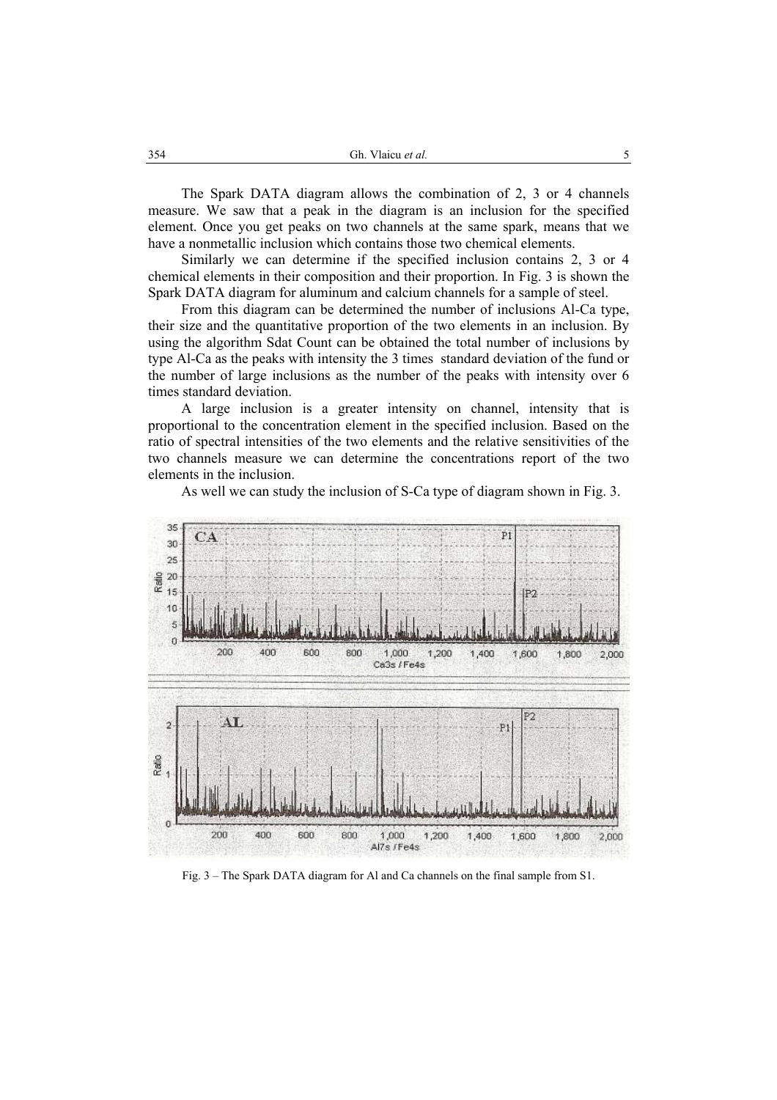The Spark DATA diagram allows the combination of 2, 3 or 4 channels measure. We saw that a peak in the diagram is an inclusion for the specified element. Once you get peaks on two channels at the same spark, means that we have a nonmetallic inclusion which contains those two chemical elements.

Similarly we can determine if the specified inclusion contains 2, 3 or 4 chemical elements in their composition and their proportion. In Fig. 3 is shown the Spark DATA diagram for aluminum and calcium channels for a sample of steel.

From this diagram can be determined the number of inclusions Al-Ca type, their size and the quantitative proportion of the two elements in an inclusion. By using the algorithm Sdat Count can be obtained the total number of inclusions by type Al-Ca as the peaks with intensity the 3 times standard deviation of the fund or the number of large inclusions as the number of the peaks with intensity over 6 times standard deviation.

A large inclusion is a greater intensity on channel, intensity that is proportional to the concentration element in the specified inclusion. Based on the ratio of spectral intensities of the two elements and the relative sensitivities of the two channels measure we can determine the concentrations report of the two elements in the inclusion.



As well we can study the inclusion of S-Ca type of diagram shown in Fig. 3.

Fig. 3 – The Spark DATA diagram for Al and Ca channels on the final sample from S1.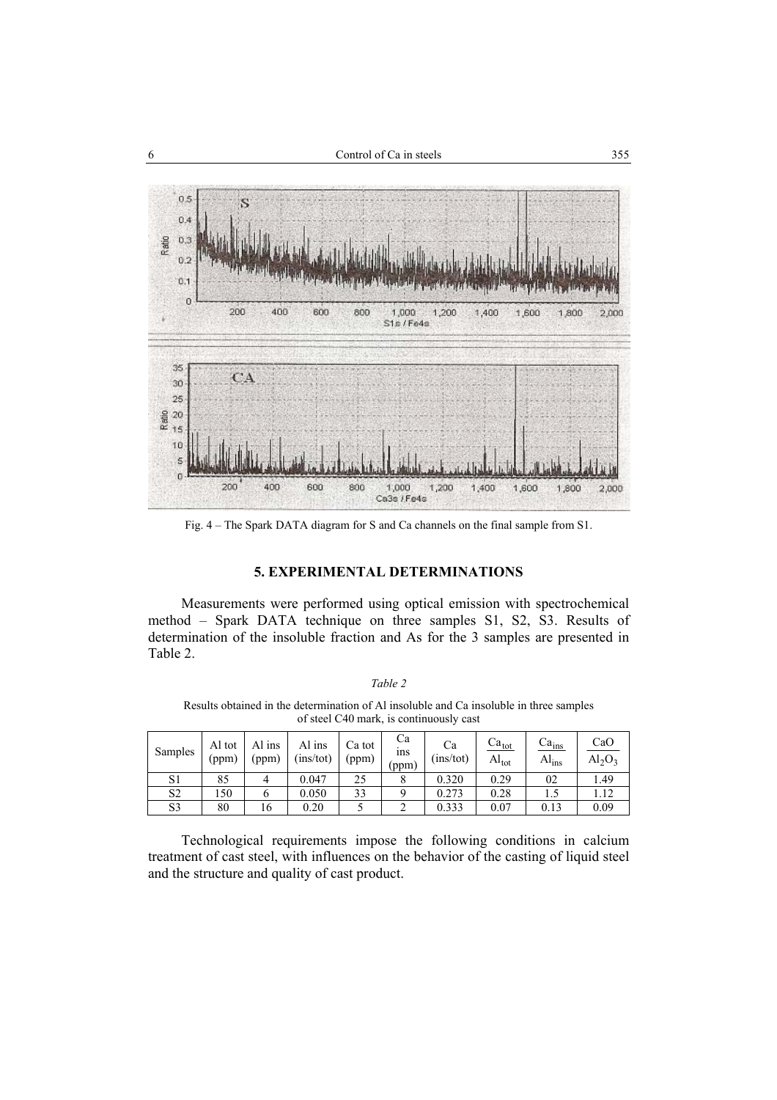

Fig. 4 – The Spark DATA diagram for S and Ca channels on the final sample from S1.

## **5. EXPERIMENTAL DETERMINATIONS**

Measurements were performed using optical emission with spectrochemical method – Spark DATA technique on three samples S1, S2, S3. Results of determination of the insoluble fraction and As for the 3 samples are presented in Table 2.

| $a$ n. |  |
|--------|--|
|        |  |

Results obtained in the determination of Al insoluble and Ca insoluble in three samples of steel C40 mark, is continuously cast

| Samples        | Al tot<br>(ppm) | Al ins<br>(ppm) | Al ins<br>(ins/tot) | Ca tot<br>(ppm) | Cа<br>1ns<br>(ppm) | Ca<br>(ins/tot) | $ca_{\text{tot}}$<br>$Al_{\text{tot}}$ | Ca <sub>ins</sub><br>Al <sub>ins</sub> | CaO<br>$Al_2O_3$ |
|----------------|-----------------|-----------------|---------------------|-----------------|--------------------|-----------------|----------------------------------------|----------------------------------------|------------------|
| S1             | 85              |                 | 0.047               | 25              |                    | 0.320           | 0.29                                   | 02                                     | 1.49             |
| S <sub>2</sub> | 150             | O               | 0.050               | 33              |                    | 0.273           | 0.28                                   |                                        | 1.12             |
| S3             | 80              | 16              | 0.20                |                 |                    | 0.333           | 0.07                                   | 0.13                                   | 0.09             |

Technological requirements impose the following conditions in calcium treatment of cast steel, with influences on the behavior of the casting of liquid steel and the structure and quality of cast product.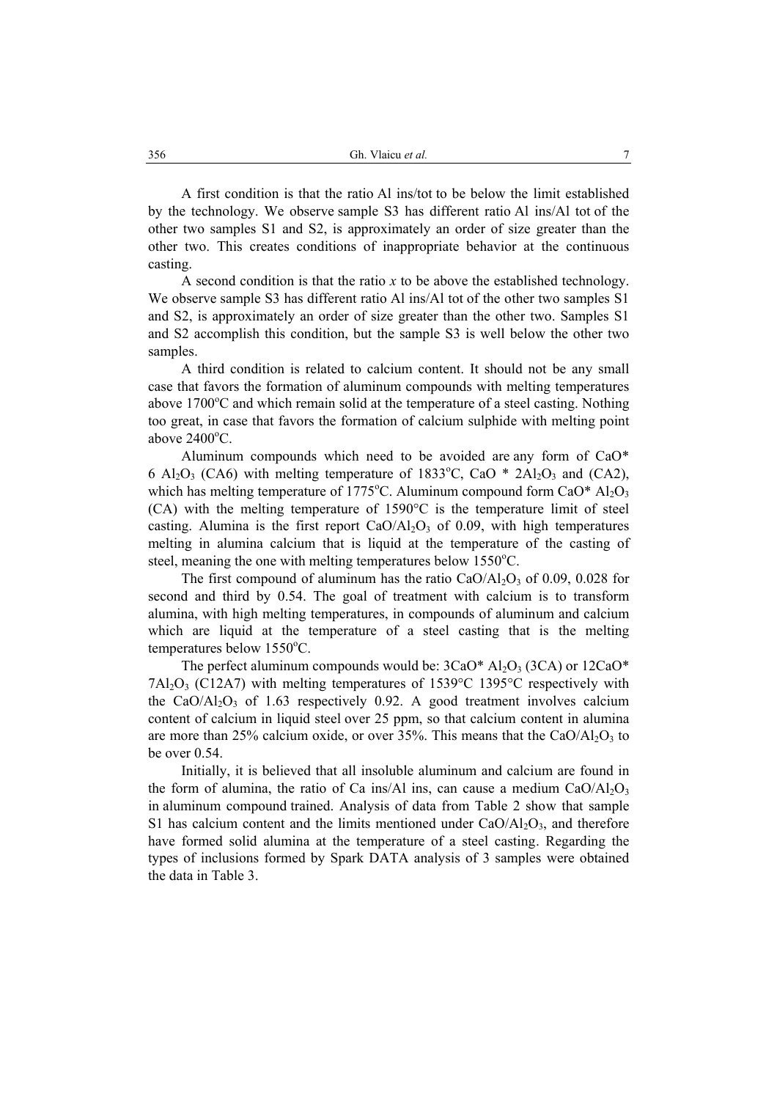A first condition is that the ratio Al ins/tot to be below the limit established by the technology. We observe sample S3 has different ratio Al ins/Al tot of the other two samples S1 and S2, is approximately an order of size greater than the other two. This creates conditions of inappropriate behavior at the continuous casting.

A second condition is that the ratio *x* to be above the established technology. We observe sample S3 has different ratio Al ins/Al tot of the other two samples S1 and S2, is approximately an order of size greater than the other two. Samples S1 and S2 accomplish this condition, but the sample S3 is well below the other two samples.

A third condition is related to calcium content. It should not be any small case that favors the formation of aluminum compounds with melting temperatures above 1700°C and which remain solid at the temperature of a steel casting. Nothing too great, in case that favors the formation of calcium sulphide with melting point above  $2400^{\circ}$ C.

Aluminum compounds which need to be avoided are any form of CaO\* 6 Al<sub>2</sub>O<sub>3</sub> (CA6) with melting temperature of 1833<sup>o</sup>C, CaO  $*$  2Al<sub>2</sub>O<sub>3</sub> and (CA2), which has melting temperature of  $1775^{\circ}$ C. Aluminum compound form CaO\*  $Al_2O_3$ (CA) with the melting temperature of 1590°C is the temperature limit of steel casting. Alumina is the first report  $CaO/AI<sub>2</sub>O<sub>3</sub>$  of 0.09, with high temperatures melting in alumina calcium that is liquid at the temperature of the casting of steel, meaning the one with melting temperatures below 1550°C.

The first compound of aluminum has the ratio  $CaO/Al_2O_3$  of 0.09, 0.028 for second and third by 0.54. The goal of treatment with calcium is to transform alumina, with high melting temperatures, in compounds of aluminum and calcium which are liquid at the temperature of a steel casting that is the melting  $temperatures$  below  $1550^{\circ}$ C.

The perfect aluminum compounds would be:  $3CaO^*$  Al<sub>2</sub>O<sub>3</sub> (3CA) or  $12CaO^*$ 7Al<sub>2</sub>O<sub>3</sub> (C12A7) with melting temperatures of 1539 $\degree$ C 1395 $\degree$ C respectively with the CaO/Al<sub>2</sub>O<sub>3</sub> of 1.63 respectively 0.92. A good treatment involves calcium content of calcium in liquid steel over 25 ppm, so that calcium content in alumina are more than 25% calcium oxide, or over 35%. This means that the  $CaO/Al<sub>2</sub>O<sub>3</sub>$  to be over 0.54.

Initially, it is believed that all insoluble aluminum and calcium are found in the form of alumina, the ratio of Ca ins/Al ins, can cause a medium  $CaO/Al<sub>2</sub>O<sub>3</sub>$ in aluminum compound trained. Analysis of data from Table 2 show that sample S1 has calcium content and the limits mentioned under  $CaO/AI_2O_3$ , and therefore have formed solid alumina at the temperature of a steel casting. Regarding the types of inclusions formed by Spark DATA analysis of 3 samples were obtained the data in Table 3.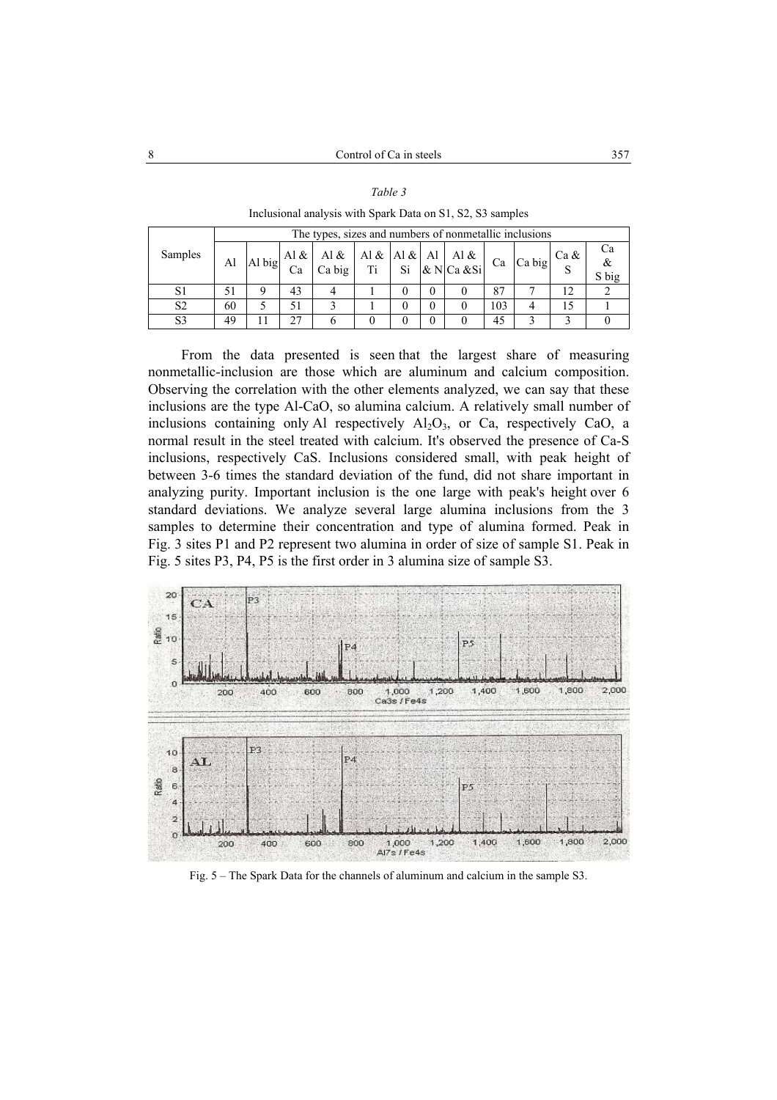*Table 3* 

| Inclusional analysis with Spark Data on S1, S2, S3 samples |                |                                                        |                                                                 |    |                                                                                                                                                                                                                   |  |   |          |  |     |                                                                                                                                                          |    |                  |
|------------------------------------------------------------|----------------|--------------------------------------------------------|-----------------------------------------------------------------|----|-------------------------------------------------------------------------------------------------------------------------------------------------------------------------------------------------------------------|--|---|----------|--|-----|----------------------------------------------------------------------------------------------------------------------------------------------------------|----|------------------|
|                                                            |                | The types, sizes and numbers of nonmetallic inclusions |                                                                 |    |                                                                                                                                                                                                                   |  |   |          |  |     |                                                                                                                                                          |    |                  |
|                                                            | Samples        | Al                                                     | $\mid$  Al big $\left  \frac{\text{Al}}{c} \& \right $   $\sim$ | Ca | $\begin{array}{ c c c c c c } \hline \text{Al}\ \& \text{Al}\ \& \text{Al}\ \& \text{Li} & \text{Si} & \text{Al} & \text{Al}\ \& \text{Ni} & \text{Si} & \text{Al} & \text{Ca} & \text{Si} \\ \hline \end{array}$ |  |   |          |  |     | $\left  \begin{array}{c} 1 \text{ Ca} \\ \text{Ca} \end{array} \right $ Ca big $\left  \begin{array}{c} \text{Ca} \& 1 \\ \text{Ca} \end{array} \right $ |    | Cа<br>&<br>S big |
|                                                            |                |                                                        |                                                                 | 43 |                                                                                                                                                                                                                   |  |   | $\theta$ |  | 87  |                                                                                                                                                          | 12 |                  |
|                                                            | S <sub>2</sub> | 60                                                     |                                                                 | 51 |                                                                                                                                                                                                                   |  | 0 | $\Omega$ |  | 103 |                                                                                                                                                          | 15 |                  |
|                                                            | S <sub>3</sub> | 49                                                     |                                                                 | 27 |                                                                                                                                                                                                                   |  |   | 0        |  | 45  |                                                                                                                                                          |    |                  |

From the data presented is seen that the largest share of measuring nonmetallic-inclusion are those which are aluminum and calcium composition. Observing the correlation with the other elements analyzed, we can say that these inclusions are the type Al-CaO, so alumina calcium. A relatively small number of inclusions containing only Al respectively  $Al_2O_3$ , or Ca, respectively CaO, a normal result in the steel treated with calcium. It's observed the presence of Ca-S inclusions, respectively CaS. Inclusions considered small, with peak height of between 3-6 times the standard deviation of the fund, did not share important in analyzing purity. Important inclusion is the one large with peak's height over 6 standard deviations. We analyze several large alumina inclusions from the 3 samples to determine their concentration and type of alumina formed. Peak in Fig. 3 sites P1 and P2 represent two alumina in order of size of sample S1. Peak in Fig. 5 sites P3, P4, P5 is the first order in 3 alumina size of sample S3.



Fig. 5 – The Spark Data for the channels of aluminum and calcium in the sample S3.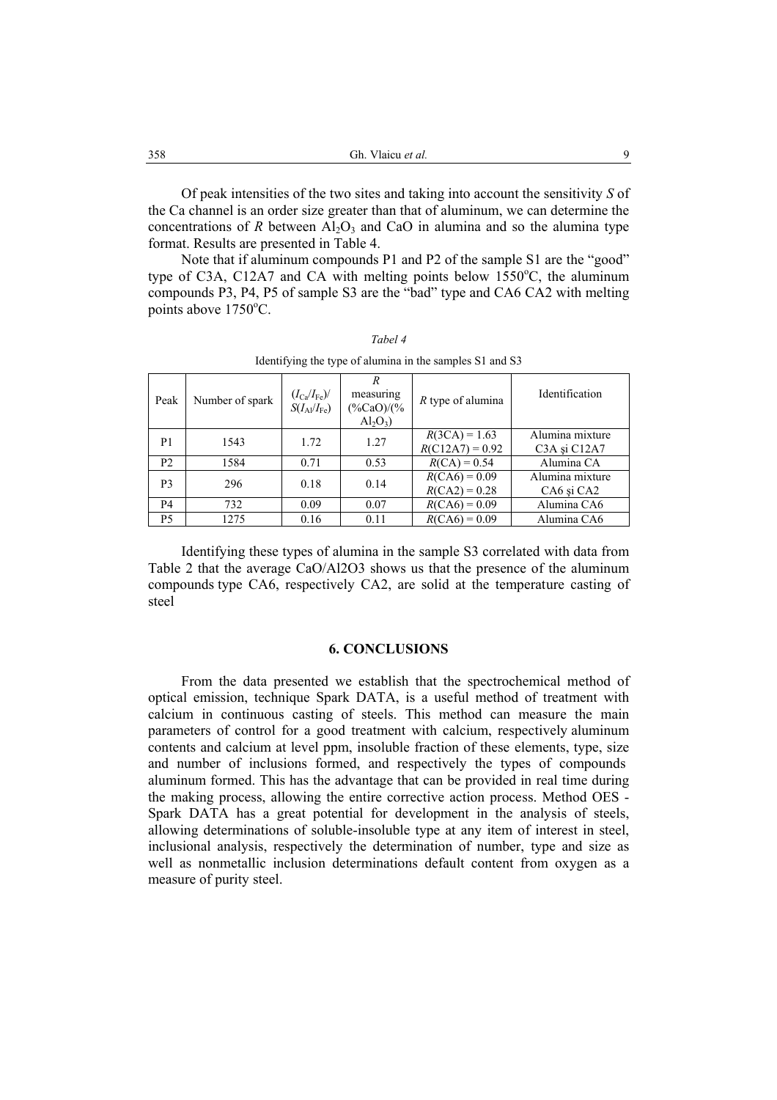Of peak intensities of the two sites and taking into account the sensitivity *S* of the Ca channel is an order size greater than that of aluminum, we can determine the concentrations of *R* between  $A<sub>1</sub>O<sub>3</sub>$  and CaO in alumina and so the alumina type format. Results are presented in Table 4.

Note that if aluminum compounds P1 and P2 of the sample S1 are the "good" type of C3A, C12A7 and CA with melting points below  $1550^{\circ}$ C, the aluminum compounds P3, P4, P5 of sample S3 are the "bad" type and CA6 CA2 with melting points above 1750°C.

| Peak           | Number of spark | $(I_{\rm Ca}/I_{\rm Fe})/$<br>$S(I_{Al}/I_{Fe})$ | R<br>measuring<br>$(\frac{9}{6}CaO)/( \frac{9}{6}$<br>$Al_2O_3$ | $R$ type of alumina                  | Identification                                                        |
|----------------|-----------------|--------------------------------------------------|-----------------------------------------------------------------|--------------------------------------|-----------------------------------------------------------------------|
| P <sub>1</sub> | 1543            | 1.72                                             | 1.27                                                            | $R(3CA) = 1.63$<br>$R(C12A7) = 0.92$ | Alumina mixture<br>C <sub>3</sub> A și C <sub>12</sub> A <sub>7</sub> |
| P <sub>2</sub> | 1584            | 0.71                                             | 0.53                                                            | $R(CA) = 0.54$                       | Alumina CA                                                            |
| P <sub>3</sub> | 296             | 0.18                                             | 0.14                                                            | $R(CA6) = 0.09$<br>$R(CA2) = 0.28$   | Alumina mixture<br>CA6 și CA2                                         |
| P <sub>4</sub> | 732             | 0.09                                             | 0.07                                                            | $R(CA6) = 0.09$                      | Alumina CA6                                                           |
| P5             | 1275            | 0.16                                             | 0.11                                                            | $R(CA6) = 0.09$                      | Alumina CA6                                                           |

*Tabel 4*  Identifying the type of alumina in the samples S1 and S3

Identifying these types of alumina in the sample S3 correlated with data from Table 2 that the average CaO/Al2O3 shows us that the presence of the aluminum compounds type CA6, respectively CA2, are solid at the temperature casting of steel

#### **6. CONCLUSIONS**

From the data presented we establish that the spectrochemical method of optical emission, technique Spark DATA, is a useful method of treatment with calcium in continuous casting of steels. This method can measure the main parameters of control for a good treatment with calcium, respectively aluminum contents and calcium at level ppm, insoluble fraction of these elements, type, size and number of inclusions formed, and respectively the types of compounds aluminum formed. This has the advantage that can be provided in real time during the making process, allowing the entire corrective action process. Method OES - Spark DATA has a great potential for development in the analysis of steels, allowing determinations of soluble-insoluble type at any item of interest in steel, inclusional analysis, respectively the determination of number, type and size as well as nonmetallic inclusion determinations default content from oxygen as a measure of purity steel.